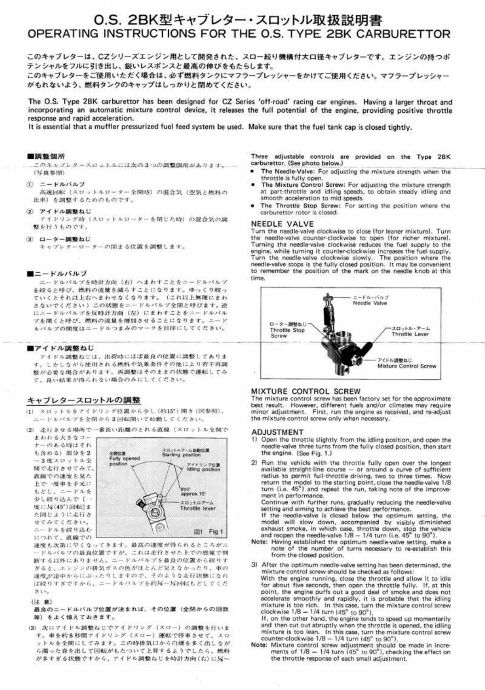## O.S. 2BK型キャブレター・スロットル取扱説明書 OPERATING INSTRUCTIONS FOR THE O.S. TYPE 2BK CARBURETTOR

このキャブレターは、CZシリーズエンジン用として開発された、スロー絞り機構付大口径キャブレターです。エンジンの持つポ テンシャルをフルに引き出し、鋭いレスポンスと最高の伸びをもたらします。

このキャブレターをご使用いただく場合は、必ず燃料タンクにマフラープレッシャーをかけてご使用ください。マフラープレッシャー がもれないよう、燃料タンクのキャップはしっかりと閉めてください。

The O.S. Type 2BK carburettor has been designed for CZ Series 'off-road' racing car engines. Having a larger throat and incorporating an automatic mixture control device, it releases the full potential of the engine, providing positive throttle response and rapid acceleration.

It is essential that a muffler pressurized fuel feed system be used. Make sure that the fuel tank cap is closed tightly.

#### ■調整個所

このキャプレタースロットルには次の3つの調整個所があります。 (写真参照)

 $(i)$   $=$   $KJL/(JLJ)$ 

高速回転(スロットルローター全開時)の混合気(空気と燃料の 比率) を調整するためのものです。

**(2) アイドル調整ねじ** 

アイドリング時(スロットルローターを閉じた時)の混合気の調 整を行うものです。

3 ローター調整ねじ

キャプレターローターの閉まる位置を調整します。

#### $\blacksquare$  $=$   $\vdash$   $\mathcal{W}$  $\mathcal{N}$  $\mathcal{W}$  $\mathcal{T}$

ニードルパルプを時計方向(右)へまわすことをニードルバルブ を絞ると呼び、燃料の流量を減らすことになります。 ゆっくり絞っ ていくとそれ以上右へまわせなくなります。(これ以上無理にまわ さないでください) この状態をニードルバルプ全閉と呼びます。逆 にニードルバルブを反時計方向 (左) にまわすことをニードルバル ブを開くと呼び、燃料の流量を増加させることになります。ニード J\.. "'< *1\1* 7'q)flllf.rU :.:.- f." *11--.>* :t *;.,.o)* '7 - ? (t f.HIH.: l. T < fl. ~ ''• ----- ThrOl1fe \$lop

*<sup>7</sup>*-'f f.' J~o-M <sup>M</sup>tl 1.: t.t. • lJi(.:jn.Y, 1.: U ll.' M- J~ Ulf:itill ~.::a:t fl L T *h* 'l J: す。しかしながら使用される燃料や気象条件その他により若干再調 整が必要な場合があります。再調整はそのままの状態で運転してみ て、良い結果が得られない場合のみにしてください。

### キャブレタースロットルの調整

- (1) スロットルをアイドリング位置から少し (約15°) 開き (図参照)、  $\texttt{r}\texttt{r} - \texttt{r} \texttt{r} \texttt{r} \texttt{r} \texttt{r} \texttt{r} \texttt{r} \texttt{r} \texttt{r} \texttt{r} \texttt{r} \texttt{r} \texttt{r} \texttt{r} \texttt{r} \texttt{r} \texttt{r} \texttt{r} \texttt{r} \texttt{r} \texttt{r} \texttt{r} \texttt{r} \texttt{r} \texttt{r} \texttt{r} \texttt{r} \texttt{r} \texttt{r} \texttt{r} \texttt{r} \texttt{r} \texttt{r} \texttt{r} \texttt$
- (2) 走行させる場所で一番長い距離のとれる直線 (スロットル全開で まわれる大きなコー ナーのある時はそれ スロットルアーム始動位置<br>Starting position **も含める)部分を2** 全開位置 Fully opened  $-3$ 度スロットル全 position アイドリング位置<br>Idling position **開で走行させてみて、** 直線での速度を見た 上で一度車を手元に 1915  $L' \subset L$ ,  $L = V \wedge k$ approx.15\* 少し絞り込んで (… スロットルアーム 度に3(45°)回転]ま Throttle lever た同じように走行さ せてみてください。 *::.-* , .. "'\$-~ 1} .ill t.· 1iD1 Fig 1

につれて、直線での 速度も次第に早くなってきます。最高の速度が得られるところが、

Three adjustable controls are provided on the Type 2BK carburettor. (See photo below.)

- The Needle-Valve: For adjusting the mixture strength when the throttle is fully open.
- The Mixture Control Screw: For adjusting the mixture strength at part-throttle and idling speeds, to obtain steady idling and smooth acceleration to mid speeds.
- The Throttle Stop Screw: For setting the position where the carburettor rotor is closed.

#### NEEDLE VALVE

Turn the needle-valve clockwise to close (for leaner mixture). Turn the needle-valve counter-clockwise to open (for richer mixture). Turning the needle-valve clockwise reduces the fuel supply to the engine, while turning it counter-clockwise increases the fuel supply. Turn the needle-valve clockwise slowly. The position where the needle-valve stops is the fully closed position. It may be convenient to remember the position of the mark on the needle knob at this time.

- 1) Open the throttle slightly from the idling position, and open the needle-valve three turns from the fully closed position, then start the engine. (See Fig. 1.)
- 2) Run the vehicle with the throttle fully open over the longest  $a$ vailable straight-line course  $-$  or around a curve of sufficient radius to permit full-throttle driving, two to three times. Now return the model to the starting point, close the needle-valve 1/8 turn (i.e. 45°) and repeat the run, taking note of the improvernent In performance.

Continue with further runs, gradually reducing the needle-valve setting and aiming to achieve the best performance.

If the needle-valve is closed below the optimum setting, the model will slow down, accompanied by visibly diminished exhaust smoke, in which case, throttle down, stop the vehicle and reopen the needle-valve  $1/8 - 1/4$  turn (i.e.  $45^\circ$  to  $90^\circ$ ).

Note: Having established the optimum needle-valve setting, make a

- *V ルバルプの最良位置ですが、これは走行させた上での感覚で判* lffする以外にありません。ニードルバルブを最良の位置から絞りす  $r$  **if**  $\mathcal{S}$ *i* ... エンジンの排気ガスの色がほとんど兄えなかったり、車の 速度が途中からにぶったりしますので、そのような走行状態になれ l.ば絞りすぎですから、ニードルバルブを約2m~Xpl転もどしてくだ  $\mathcal{B} \cup \mathcal{C}_n$ 

(注 意)

最良のニードルバルブ位置が決まれば、その位置 (全閉からの回数 等) をよく憶えておきます。

(3) 次にアイドル調整ねじでアイドリング (スロー) の調整を行いま す。車を約5秒間アイドリング(スロー)運転で停車させて、スロ ットルを全開にしてみます。この時排気口から白煙を多く出しなが ら濁った音を出して回転がもたついて上昇するようでしたら、燃料 が多すぎる状態ですから、アイドル調整ねじを時計方向(右)に另ー

note of the number of turns necessary to re-establish this from the closed position.

3) After the optimum needle-valve setting has been determined, the mixture control screw should be checked as follows:

With the engine running, close the throttle and allow it to idle for about five seconds, then open the throttle fully. If, at this point, the engine puffs out a good deal of smoke and does not accelerate smoothly and rapidly, it is probable that the idling mixture is too rich. In this case, turn the mixture control screw clockwise  $1/8 - 1/4$  turn (45 $^{\circ}$  to 90 $^{\circ}$ ),

If, on the other hand, the engine tends to speed up momentarily and then cut out abruptly when the throttle is opened, the idling mixture is too lean. In this case, turn the mixture control screw counter-clockwise  $1/8- 1/4$  turn  $(45^{\circ}$  to  $90^{\circ}).$ 

Note: Mixture control screw adjustment should be made in increments of  $1/8 - 1/4$  turn  $(45^{\circ}$  to  $90^{\circ})$ , checking the effect on the throttle response of each small adjustment.



#### MIXTURE CONTROL SCREW

The mixture control screw has been factory set for the approximate best result. However, different fuels and/or climates may require minor adjustment. First, run the engine as received, and re-adjust the mixture control screw only when necessary.

#### ADJUSTMENT